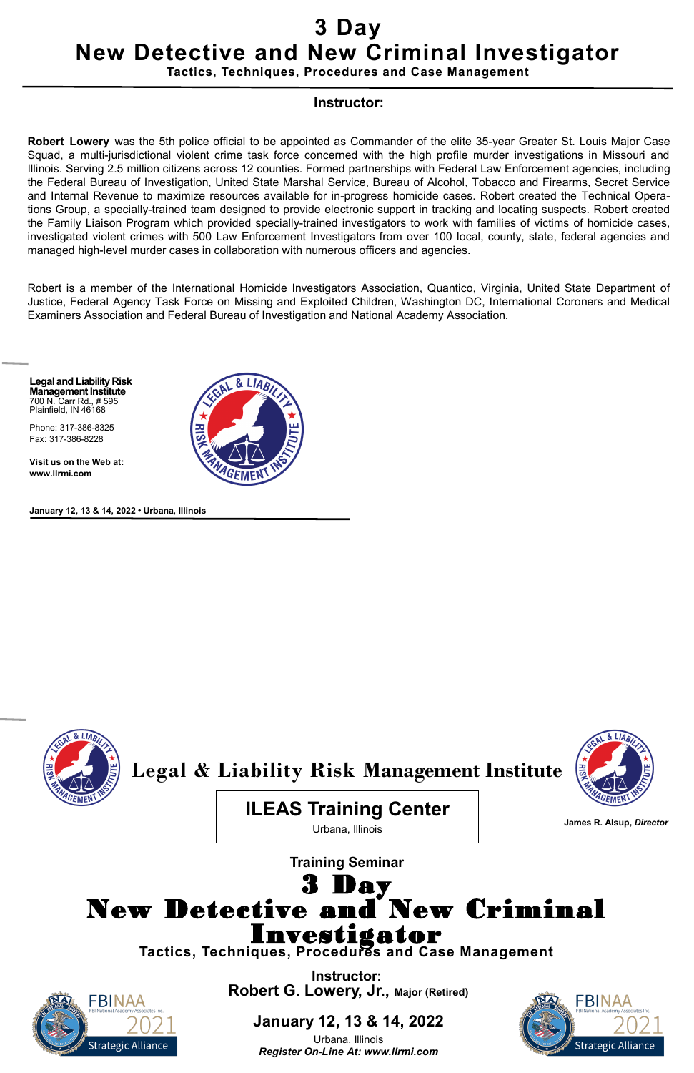## **Training Seminar** 3 Day New Detective and New Criminal Investigator **Tactics, Techniques, Procedures and Case Management**

**Instructor:**



**Robert G. Lowery, Jr., Major (Retired)**

### **January 12, 13 & 14, 2022**

Urbana, Illinois *Register On-Line At: www.llrmi.com*



**Legal and Liability Risk Management Institute** 700 N. Carr Rd., # 595 Plainfield, IN 46168

Phone: 317-386-8325 Fax: 317-386-8228

**Visit us on the Web at: www.llrmi.com**



**January 12, 13 & 14, 2022 • Urbana, Illinois**





# **3 Day New Detective and New Criminal Investigator**

**Tactics, Techniques, Procedures and Case Management**

#### **Instructor:**

**Robert Lowery** was the 5th police official to be appointed as Commander of the elite 35-year Greater St. Louis Major Case Squad, a multi-jurisdictional violent crime task force concerned with the high profile murder investigations in Missouri and Illinois. Serving 2.5 million citizens across 12 counties. Formed partnerships with Federal Law Enforcement agencies, including the Federal Bureau of Investigation, United State Marshal Service, Bureau of Alcohol, Tobacco and Firearms, Secret Service and Internal Revenue to maximize resources available for in-progress homicide cases. Robert created the Technical Operations Group, a specially-trained team designed to provide electronic support in tracking and locating suspects. Robert created the Family Liaison Program which provided specially-trained investigators to work with families of victims of homicide cases, investigated violent crimes with 500 Law Enforcement Investigators from over 100 local, county, state, federal agencies and managed high-level murder cases in collaboration with numerous officers and agencies.

Robert is a member of the International Homicide Investigators Association, Quantico, Virginia, United State Department of Justice, Federal Agency Task Force on Missing and Exploited Children, Washington DC, International Coroners and Medical Examiners Association and Federal Bureau of Investigation and National Academy Association.

**James R. Alsup,** *Director*

**ILEAS Training Center**

Urbana, Illinois